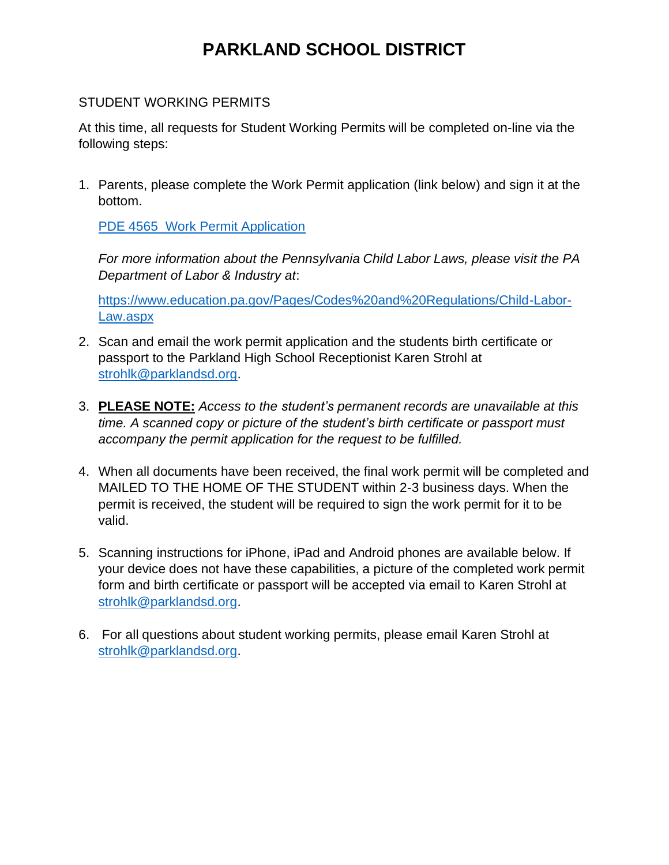## **PARKLAND SCHOOL DISTRICT**

## STUDENT WORKING PERMITS

At this time, all requests for Student Working Permits will be completed on-line via the following steps:

1. Parents, please complete the Work Permit application (link below) and sign it at the bottom.

PDE 4565 Work Permit Application

*For more information about the Pennsylvania Child Labor Laws, please visit the PA Department of Labor & Industry at*:

[https://www.education.pa.gov/Pages/Codes%20and%20Regulations/Child-Labor-](https://www.education.pa.gov/Pages/Codes%20and%20Regulations/Child-Labor-Law.aspx)[Law.aspx](https://www.education.pa.gov/Pages/Codes%20and%20Regulations/Child-Labor-Law.aspx)

- 2. Scan and email the work permit application and the students birth certificate or passport to the Parkland High School Receptionist Karen Strohl at [strohlk@parklandsd.org.](mailto:strohlk@parklandsd.org)
- 3. **PLEASE NOTE:** *Access to the student's permanent records are unavailable at this time. A scanned copy or picture of the student's birth certificate or passport must accompany the permit application for the request to be fulfilled.*
- 4. When all documents have been received, the final work permit will be completed and MAILED TO THE HOME OF THE STUDENT within 2-3 business days. When the permit is received, the student will be required to sign the work permit for it to be valid.
- 5. Scanning instructions for iPhone, iPad and Android phones are available below. If your device does not have these capabilities, a picture of the completed work permit form and birth certificate or passport will be accepted via email to Karen Strohl at [strohlk@parklandsd.org.](mailto:strohlk@parklandsd.org)
- 6. For all questions about student working permits, please email Karen Strohl at [strohlk@parklandsd.org.](mailto:strohlk@parklandsd.org)